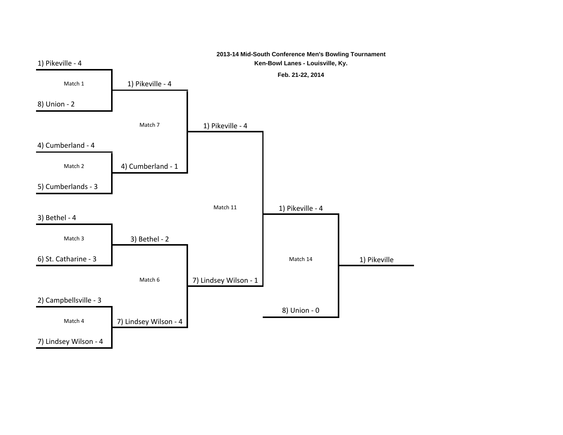

## **2013-14 Mid-South Conference Men's Bowling Tournament**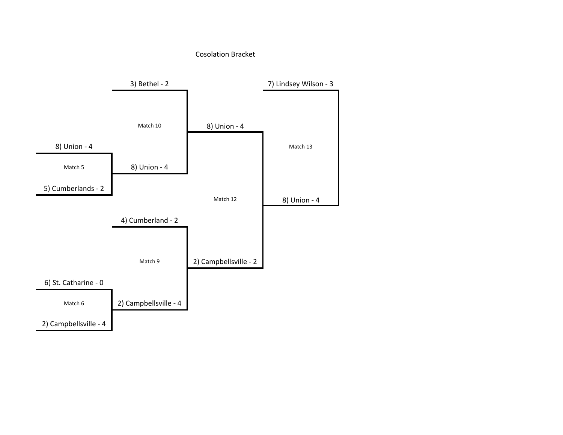## Cosolation Bracket

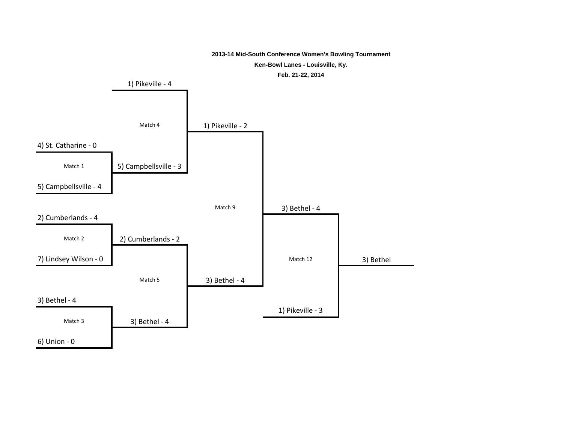